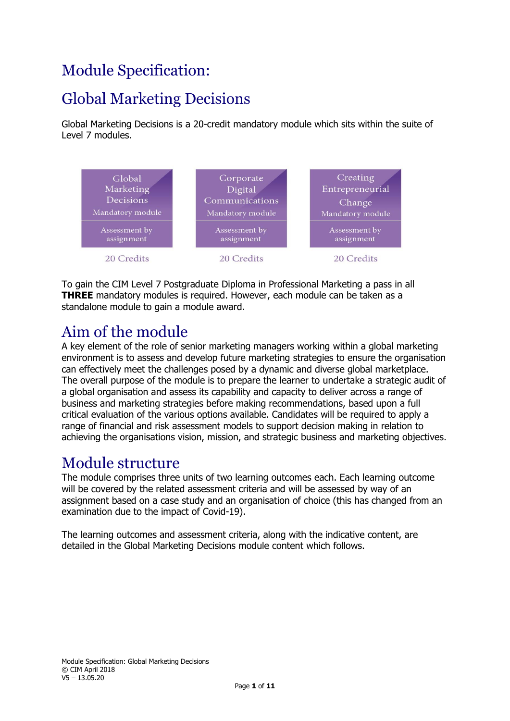## Module Specification:

## Global Marketing Decisions

Global Marketing Decisions is a 20-credit mandatory module which sits within the suite of Level 7 modules.



To gain the CIM Level 7 Postgraduate Diploma in Professional Marketing a pass in all **THREE** mandatory modules is required. However, each module can be taken as a standalone module to gain a module award.

### Aim of the module

A key element of the role of senior marketing managers working within a global marketing environment is to assess and develop future marketing strategies to ensure the organisation can effectively meet the challenges posed by a dynamic and diverse global marketplace. The overall purpose of the module is to prepare the learner to undertake a strategic audit of a global organisation and assess its capability and capacity to deliver across a range of business and marketing strategies before making recommendations, based upon a full critical evaluation of the various options available. Candidates will be required to apply a range of financial and risk assessment models to support decision making in relation to achieving the organisations vision, mission, and strategic business and marketing objectives.

### Module structure

The module comprises three units of two learning outcomes each. Each learning outcome will be covered by the related assessment criteria and will be assessed by way of an assignment based on a case study and an organisation of choice (this has changed from an examination due to the impact of Covid-19).

The learning outcomes and assessment criteria, along with the indicative content, are detailed in the Global Marketing Decisions module content which follows.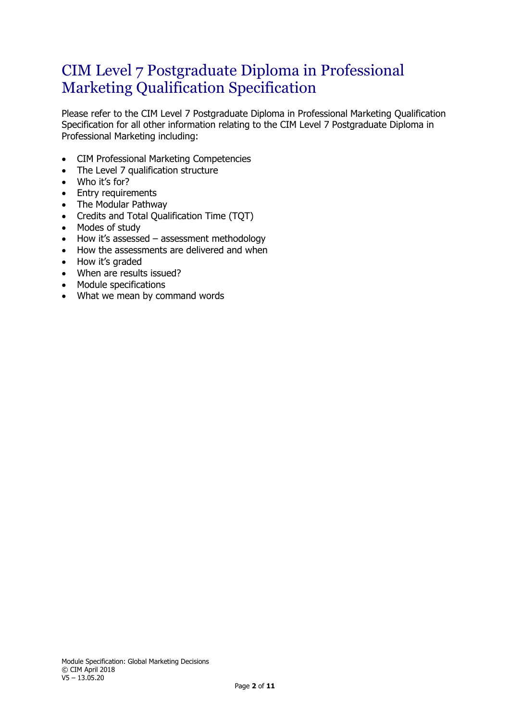### CIM Level 7 Postgraduate Diploma in Professional Marketing Qualification Specification

Please refer to the CIM Level 7 Postgraduate Diploma in Professional Marketing Qualification Specification for all other information relating to the CIM Level 7 Postgraduate Diploma in Professional Marketing including:

- CIM Professional Marketing Competencies
- The Level 7 qualification structure
- Who it's for?
- Entry requirements
- The Modular Pathway
- Credits and Total Qualification Time (TQT)
- Modes of study
- How it's assessed assessment methodology
- How the assessments are delivered and when
- How it's graded
- When are results issued?
- Module specifications
- What we mean by command words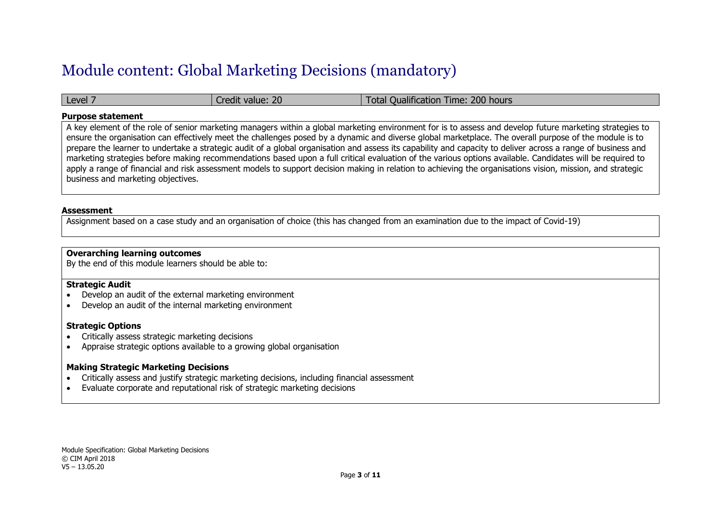### Module content: Global Marketing Decisions (mandatory)

| Level | value: 20<br>a edit Y | Time: 200 hours<br>Oualification<br>l otal |
|-------|-----------------------|--------------------------------------------|
|-------|-----------------------|--------------------------------------------|

#### **Purpose statement**

A key element of the role of senior marketing managers within a global marketing environment for is to assess and develop future marketing strategies to ensure the organisation can effectively meet the challenges posed by a dynamic and diverse global marketplace. The overall purpose of the module is to prepare the learner to undertake a strategic audit of a global organisation and assess its capability and capacity to deliver across a range of business and marketing strategies before making recommendations based upon a full critical evaluation of the various options available. Candidates will be required to apply a range of financial and risk assessment models to support decision making in relation to achieving the organisations vision, mission, and strategic business and marketing objectives.

#### **Assessment**

Assignment based on a case study and an organisation of choice (this has changed from an examination due to the impact of Covid-19)

#### **Overarching learning outcomes**

By the end of this module learners should be able to:

#### **Strategic Audit**

- Develop an audit of the external marketing environment
- Develop an audit of the internal marketing environment

#### **Strategic Options**

- Critically assess strategic marketing decisions
- Appraise strategic options available to a growing global organisation

#### **Making Strategic Marketing Decisions**

- Critically assess and justify strategic marketing decisions, including financial assessment
- Evaluate corporate and reputational risk of strategic marketing decisions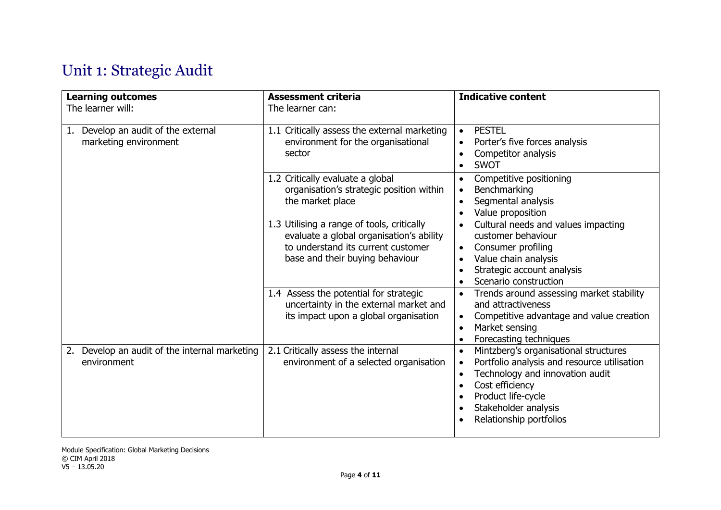# Unit 1: Strategic Audit

| <b>Learning outcomes</b><br>The learner will:                   | <b>Assessment criteria</b><br>The learner can:                                                                                                                  | <b>Indicative content</b>                                                                                                                                                                                                                                  |
|-----------------------------------------------------------------|-----------------------------------------------------------------------------------------------------------------------------------------------------------------|------------------------------------------------------------------------------------------------------------------------------------------------------------------------------------------------------------------------------------------------------------|
| Develop an audit of the external<br>ı.<br>marketing environment | 1.1 Critically assess the external marketing<br>environment for the organisational<br>sector                                                                    | <b>PESTEL</b><br>$\bullet$<br>Porter's five forces analysis<br>$\bullet$<br>Competitor analysis<br><b>SWOT</b><br>$\bullet$                                                                                                                                |
|                                                                 | 1.2 Critically evaluate a global<br>organisation's strategic position within<br>the market place                                                                | Competitive positioning<br>$\bullet$<br>Benchmarking<br>$\bullet$<br>Segmental analysis<br>Value proposition                                                                                                                                               |
|                                                                 | 1.3 Utilising a range of tools, critically<br>evaluate a global organisation's ability<br>to understand its current customer<br>base and their buying behaviour | Cultural needs and values impacting<br>$\bullet$<br>customer behaviour<br>Consumer profiling<br>$\bullet$<br>Value chain analysis<br>Strategic account analysis<br>Scenario construction                                                                   |
|                                                                 | 1.4 Assess the potential for strategic<br>uncertainty in the external market and<br>its impact upon a global organisation                                       | Trends around assessing market stability<br>and attractiveness<br>Competitive advantage and value creation<br>$\bullet$<br>Market sensing<br>$\bullet$<br>Forecasting techniques                                                                           |
| Develop an audit of the internal marketing<br>2.<br>environment | 2.1 Critically assess the internal<br>environment of a selected organisation                                                                                    | Mintzberg's organisational structures<br>$\bullet$<br>Portfolio analysis and resource utilisation<br>$\bullet$<br>Technology and innovation audit<br>$\bullet$<br>Cost efficiency<br>Product life-cycle<br>Stakeholder analysis<br>Relationship portfolios |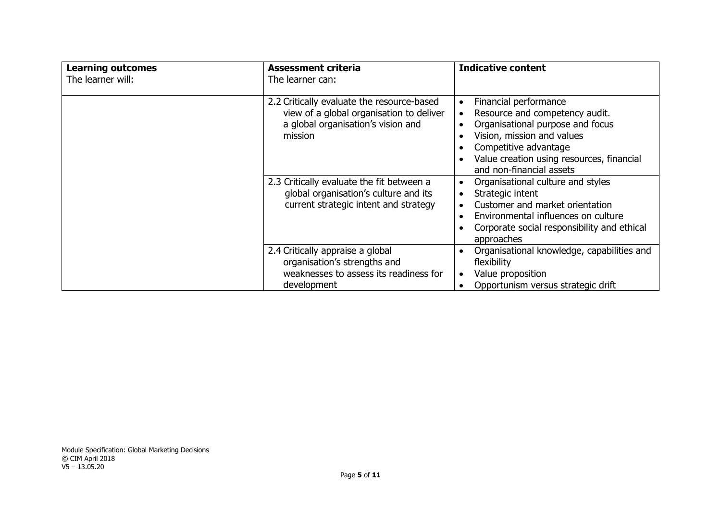| <b>Learning outcomes</b><br>The learner will: | <b>Assessment criteria</b><br>The learner can:                                                                                          | <b>Indicative content</b>                                                                                                                                                                                                                |
|-----------------------------------------------|-----------------------------------------------------------------------------------------------------------------------------------------|------------------------------------------------------------------------------------------------------------------------------------------------------------------------------------------------------------------------------------------|
|                                               | 2.2 Critically evaluate the resource-based<br>view of a global organisation to deliver<br>a global organisation's vision and<br>mission | Financial performance<br>$\bullet$<br>Resource and competency audit.<br>Organisational purpose and focus<br>Vision, mission and values<br>Competitive advantage<br>Value creation using resources, financial<br>and non-financial assets |
|                                               | 2.3 Critically evaluate the fit between a<br>global organisation's culture and its<br>current strategic intent and strategy             | Organisational culture and styles<br>Strategic intent<br>Customer and market orientation<br>Environmental influences on culture<br>Corporate social responsibility and ethical<br>approaches                                             |
|                                               | 2.4 Critically appraise a global<br>organisation's strengths and<br>weaknesses to assess its readiness for<br>development               | Organisational knowledge, capabilities and<br>flexibility<br>Value proposition<br>Opportunism versus strategic drift                                                                                                                     |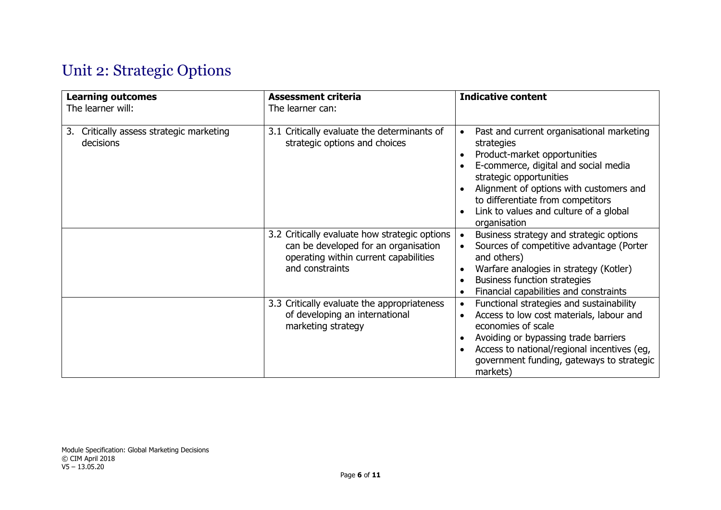# Unit 2: Strategic Options

| <b>Learning outcomes</b><br>The learner will:            | <b>Assessment criteria</b><br>The learner can:                                                                                                    | <b>Indicative content</b>                                                                                                                                                                                                                                                                                         |
|----------------------------------------------------------|---------------------------------------------------------------------------------------------------------------------------------------------------|-------------------------------------------------------------------------------------------------------------------------------------------------------------------------------------------------------------------------------------------------------------------------------------------------------------------|
| Critically assess strategic marketing<br>3.<br>decisions | 3.1 Critically evaluate the determinants of<br>strategic options and choices                                                                      | Past and current organisational marketing<br>$\bullet$<br>strategies<br>Product-market opportunities<br>E-commerce, digital and social media<br>strategic opportunities<br>Alignment of options with customers and<br>to differentiate from competitors<br>Link to values and culture of a global<br>organisation |
|                                                          | 3.2 Critically evaluate how strategic options<br>can be developed for an organisation<br>operating within current capabilities<br>and constraints | Business strategy and strategic options<br>$\bullet$<br>Sources of competitive advantage (Porter<br>and others)<br>Warfare analogies in strategy (Kotler)<br><b>Business function strategies</b><br>Financial capabilities and constraints                                                                        |
|                                                          | 3.3 Critically evaluate the appropriateness<br>of developing an international<br>marketing strategy                                               | Functional strategies and sustainability<br>$\bullet$<br>Access to low cost materials, labour and<br>economies of scale<br>Avoiding or bypassing trade barriers<br>Access to national/regional incentives (eg,<br>government funding, gateways to strategic<br>markets)                                           |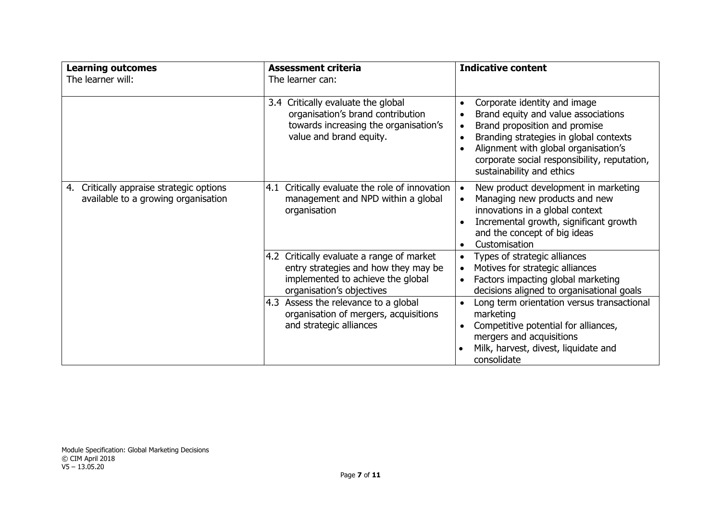| <b>Learning outcomes</b>                                                           | <b>Assessment criteria</b>                                                                                                                          | <b>Indicative content</b>                                                                                                                                                                                                                                                                          |
|------------------------------------------------------------------------------------|-----------------------------------------------------------------------------------------------------------------------------------------------------|----------------------------------------------------------------------------------------------------------------------------------------------------------------------------------------------------------------------------------------------------------------------------------------------------|
| The learner will:                                                                  | The learner can:                                                                                                                                    |                                                                                                                                                                                                                                                                                                    |
|                                                                                    | 3.4 Critically evaluate the global<br>organisation's brand contribution<br>towards increasing the organisation's<br>value and brand equity.         | Corporate identity and image<br>$\bullet$<br>Brand equity and value associations<br>Brand proposition and promise<br>$\bullet$<br>Branding strategies in global contexts<br>٠<br>Alignment with global organisation's<br>corporate social responsibility, reputation,<br>sustainability and ethics |
| Critically appraise strategic options<br>4.<br>available to a growing organisation | 4.1 Critically evaluate the role of innovation<br>management and NPD within a global<br>organisation                                                | New product development in marketing<br>$\bullet$<br>Managing new products and new<br>$\bullet$<br>innovations in a global context<br>Incremental growth, significant growth<br>and the concept of big ideas<br>Customisation                                                                      |
|                                                                                    | 4.2 Critically evaluate a range of market<br>entry strategies and how they may be<br>implemented to achieve the global<br>organisation's objectives | Types of strategic alliances<br>Motives for strategic alliances<br>Factors impacting global marketing<br>decisions aligned to organisational goals                                                                                                                                                 |
|                                                                                    | 4.3 Assess the relevance to a global<br>organisation of mergers, acquisitions<br>and strategic alliances                                            | Long term orientation versus transactional<br>marketing<br>Competitive potential for alliances,<br>mergers and acquisitions<br>Milk, harvest, divest, liquidate and<br>consolidate                                                                                                                 |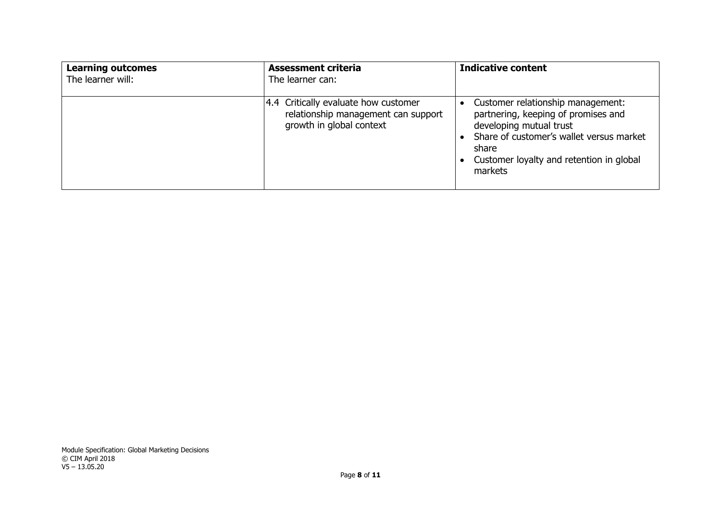| <b>Learning outcomes</b><br>The learner will: | <b>Assessment criteria</b><br>The learner can:                                                          | <b>Indicative content</b>                                                                                                                                                                                       |
|-----------------------------------------------|---------------------------------------------------------------------------------------------------------|-----------------------------------------------------------------------------------------------------------------------------------------------------------------------------------------------------------------|
|                                               | 4.4 Critically evaluate how customer<br>relationship management can support<br>growth in global context | Customer relationship management:<br>partnering, keeping of promises and<br>developing mutual trust<br>Share of customer's wallet versus market<br>share<br>Customer loyalty and retention in global<br>markets |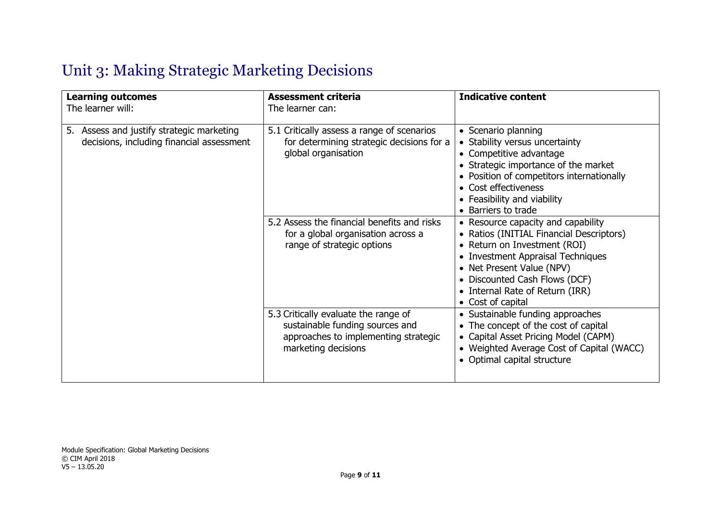# Unit 3: Making Strategic Marketing Decisions

| <b>Learning outcomes</b><br>The learner will:                                          | <b>Assessment criteria</b><br>The learner can:                                                                                         | <b>Indicative content</b>                                                                                                                                                                                                                                                 |
|----------------------------------------------------------------------------------------|----------------------------------------------------------------------------------------------------------------------------------------|---------------------------------------------------------------------------------------------------------------------------------------------------------------------------------------------------------------------------------------------------------------------------|
| 5. Assess and justify strategic marketing<br>decisions, including financial assessment | 5.1 Critically assess a range of scenarios<br>for determining strategic decisions for a<br>global organisation                         | • Scenario planning<br>• Stability versus uncertainty<br>• Competitive advantage<br>• Strategic importance of the market<br>• Position of competitors internationally<br>• Cost effectiveness<br>• Feasibility and viability<br>• Barriers to trade                       |
|                                                                                        | 5.2 Assess the financial benefits and risks<br>for a global organisation across a<br>range of strategic options                        | • Resource capacity and capability<br>• Ratios (INITIAL Financial Descriptors)<br>• Return on Investment (ROI)<br>• Investment Appraisal Techniques<br>• Net Present Value (NPV)<br>• Discounted Cash Flows (DCF)<br>• Internal Rate of Return (IRR)<br>• Cost of capital |
|                                                                                        | 5.3 Critically evaluate the range of<br>sustainable funding sources and<br>approaches to implementing strategic<br>marketing decisions | • Sustainable funding approaches<br>• The concept of the cost of capital<br>• Capital Asset Pricing Model (CAPM)<br>• Weighted Average Cost of Capital (WACC)<br>• Optimal capital structure                                                                              |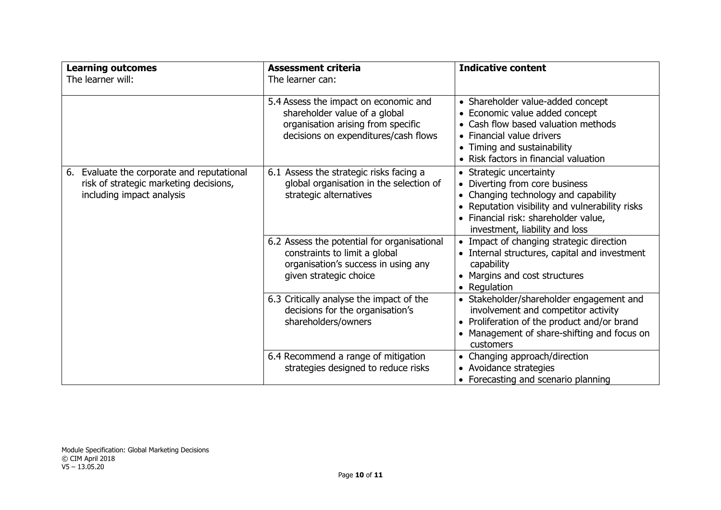| <b>Learning outcomes</b><br>The learner will:                                                                     | <b>Assessment criteria</b><br>The learner can:                                                                                                       | <b>Indicative content</b>                                                                                                                                                                                                      |
|-------------------------------------------------------------------------------------------------------------------|------------------------------------------------------------------------------------------------------------------------------------------------------|--------------------------------------------------------------------------------------------------------------------------------------------------------------------------------------------------------------------------------|
|                                                                                                                   | 5.4 Assess the impact on economic and<br>shareholder value of a global<br>organisation arising from specific<br>decisions on expenditures/cash flows | • Shareholder value-added concept<br>• Economic value added concept<br>• Cash flow based valuation methods<br>• Financial value drivers<br>• Timing and sustainability<br>• Risk factors in financial valuation                |
| 6. Evaluate the corporate and reputational<br>risk of strategic marketing decisions,<br>including impact analysis | 6.1 Assess the strategic risks facing a<br>global organisation in the selection of<br>strategic alternatives                                         | • Strategic uncertainty<br>• Diverting from core business<br>• Changing technology and capability<br>• Reputation visibility and vulnerability risks<br>· Financial risk: shareholder value,<br>investment, liability and loss |
|                                                                                                                   | 6.2 Assess the potential for organisational<br>constraints to limit a global<br>organisation's success in using any<br>given strategic choice        | • Impact of changing strategic direction<br>• Internal structures, capital and investment<br>capability<br>• Margins and cost structures<br>• Regulation                                                                       |
|                                                                                                                   | 6.3 Critically analyse the impact of the<br>decisions for the organisation's<br>shareholders/owners                                                  | • Stakeholder/shareholder engagement and<br>involvement and competitor activity<br>• Proliferation of the product and/or brand<br>• Management of share-shifting and focus on<br>customers                                     |
|                                                                                                                   | 6.4 Recommend a range of mitigation<br>strategies designed to reduce risks                                                                           | • Changing approach/direction<br>• Avoidance strategies<br>• Forecasting and scenario planning                                                                                                                                 |